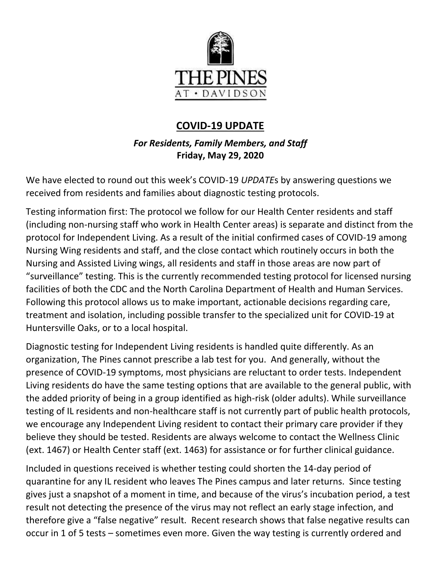

# **COVID-19 UPDATE**

## *For Residents, Family Members, and Staff* **Friday, May 29, 2020**

We have elected to round out this week's COVID-19 *UPDATE*s by answering questions we received from residents and families about diagnostic testing protocols.

Testing information first: The protocol we follow for our Health Center residents and staff (including non-nursing staff who work in Health Center areas) is separate and distinct from the protocol for Independent Living. As a result of the initial confirmed cases of COVID-19 among Nursing Wing residents and staff, and the close contact which routinely occurs in both the Nursing and Assisted Living wings, all residents and staff in those areas are now part of "surveillance" testing. This is the currently recommended testing protocol for licensed nursing facilities of both the CDC and the North Carolina Department of Health and Human Services. Following this protocol allows us to make important, actionable decisions regarding care, treatment and isolation, including possible transfer to the specialized unit for COVID-19 at Huntersville Oaks, or to a local hospital.

Diagnostic testing for Independent Living residents is handled quite differently. As an organization, The Pines cannot prescribe a lab test for you. And generally, without the presence of COVID-19 symptoms, most physicians are reluctant to order tests. Independent Living residents do have the same testing options that are available to the general public, with the added priority of being in a group identified as high-risk (older adults). While surveillance testing of IL residents and non-healthcare staff is not currently part of public health protocols, we encourage any Independent Living resident to contact their primary care provider if they believe they should be tested. Residents are always welcome to contact the Wellness Clinic (ext. 1467) or Health Center staff (ext. 1463) for assistance or for further clinical guidance.

Included in questions received is whether testing could shorten the 14-day period of quarantine for any IL resident who leaves The Pines campus and later returns. Since testing gives just a snapshot of a moment in time, and because of the virus's incubation period, a test result not detecting the presence of the virus may not reflect an early stage infection, and therefore give a "false negative" result. Recent research shows that false negative results can occur in 1 of 5 tests – sometimes even more. Given the way testing is currently ordered and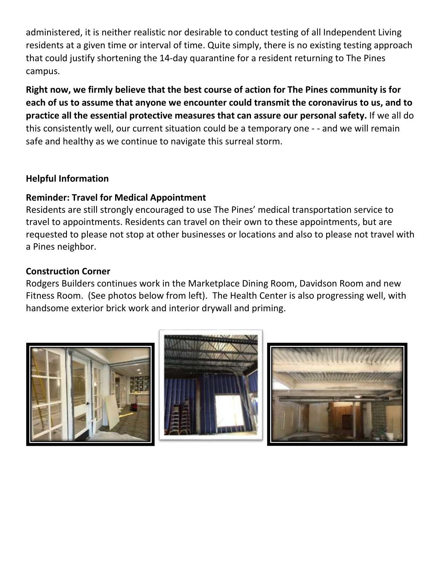administered, it is neither realistic nor desirable to conduct testing of all Independent Living residents at a given time or interval of time. Quite simply, there is no existing testing approach that could justify shortening the 14-day quarantine for a resident returning to The Pines campus.

**Right now, we firmly believe that the best course of action for The Pines community is for each of us to assume that anyone we encounter could transmit the coronavirus to us, and to practice all the essential protective measures that can assure our personal safety.** If we all do this consistently well, our current situation could be a temporary one - - and we will remain safe and healthy as we continue to navigate this surreal storm.

### **Helpful Information**

#### **Reminder: Travel for Medical Appointment**

Residents are still strongly encouraged to use The Pines' medical transportation service to travel to appointments. Residents can travel on their own to these appointments, but are requested to please not stop at other businesses or locations and also to please not travel with a Pines neighbor.

#### **Construction Corner**

Rodgers Builders continues work in the Marketplace Dining Room, Davidson Room and new Fitness Room. (See photos below from left). The Health Center is also progressing well, with handsome exterior brick work and interior drywall and priming.